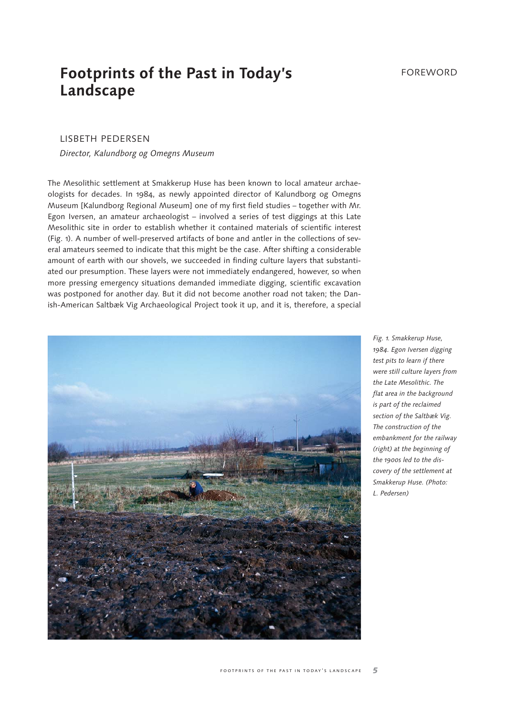## **Footprints of the Past in Today's Landscape**

## lisbeth pedersen

*Director, Kalundborg og Omegns Museum*

The Mesolithic settlement at Smakkerup Huse has been known to local amateur archaeologists for decades. In 1984, as newly appointed director of Kalundborg og Omegns Museum [Kalundborg Regional Museum] one of my first field studies – together with Mr. Egon Iversen, an amateur archaeologist – involved a series of test diggings at this Late Mesolithic site in order to establish whether it contained materials of scientific interest (Fig. 1). A number of well-preserved artifacts of bone and antler in the collections of several amateurs seemed to indicate that this might be the case. After shifting a considerable amount of earth with our shovels, we succeeded in finding culture layers that substantiated our presumption. These layers were not immediately endangered, however, so when more pressing emergency situations demanded immediate digging, scientific excavation was postponed for another day. But it did not become another road not taken; the Danish-American Saltbæk Vig Archaeological Project took it up, and it is, therefore, a special



*Fig. 1. Smakkerup Huse, 1984. Egon Iversen digging test pits to learn if there were still culture layers from the Late Mesolithic. The flat area in the background is part of the reclaimed section of the Saltbæk Vig. The construction of the embankment for the railway (right) at the beginning of the 1900s led to the discovery of the settlement at Smakkerup Huse. (Photo: L. Pedersen)*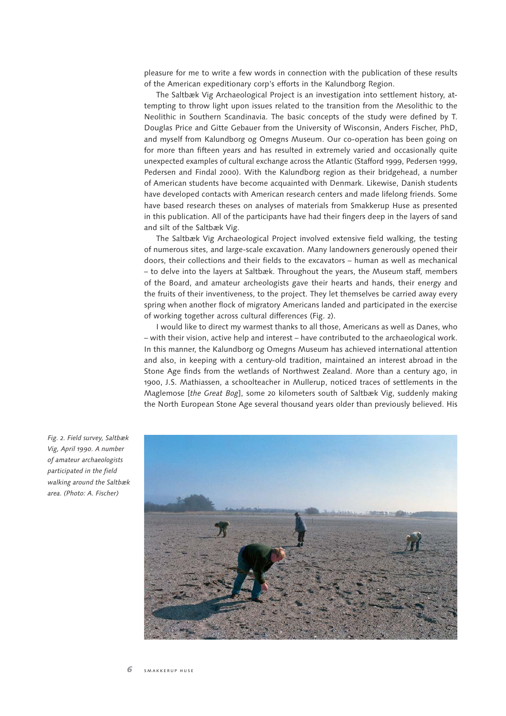pleasure for me to write a few words in connection with the publication of these results of the American expeditionary corp's efforts in the Kalundborg Region.

The Saltbæk Vig Archaeological Project is an investigation into settlement history, attempting to throw light upon issues related to the transition from the Mesolithic to the Neolithic in Southern Scandinavia. The basic concepts of the study were defined by T. Douglas Price and Gitte Gebauer from the University of Wisconsin, Anders Fischer, PhD, and myself from Kalundborg og Omegns Museum. Our co-operation has been going on for more than fifteen years and has resulted in extremely varied and occasionally quite unexpected examples of cultural exchange across the Atlantic (Stafford 1999, Pedersen 1999, Pedersen and Findal 2000). With the Kalundborg region as their bridgehead, a number of American students have become acquainted with Denmark. Likewise, Danish students have developed contacts with American research centers and made lifelong friends. Some have based research theses on analyses of materials from Smakkerup Huse as presented in this publication. All of the participants have had their fingers deep in the layers of sand and silt of the Saltbæk Vig.

The Saltbæk Vig Archaeological Project involved extensive field walking, the testing of numerous sites, and large-scale excavation. Many landowners generously opened their doors, their collections and their fields to the excavators – human as well as mechanical – to delve into the layers at Saltbæk. Throughout the years, the Museum staff, members of the Board, and amateur archeologists gave their hearts and hands, their energy and the fruits of their inventiveness, to the project. They let themselves be carried away every spring when another flock of migratory Americans landed and participated in the exercise of working together across cultural differences (Fig. 2).

I would like to direct my warmest thanks to all those, Americans as well as Danes, who – with their vision, active help and interest – have contributed to the archaeological work. In this manner, the Kalundborg og Omegns Museum has achieved international attention and also, in keeping with a century-old tradition, maintained an interest abroad in the Stone Age finds from the wetlands of Northwest Zealand. More than a century ago, in 1900, J.S. Mathiassen, a schoolteacher in Mullerup, noticed traces of settlements in the Maglemose [*the Great Bog*], some 20 kilometers south of Saltbæk Vig, suddenly making the North European Stone Age several thousand years older than previously believed. His



*Fig. 2. Field survey, Saltbæk Vig, April 1990. A number of amateur archaeologists participated in the field walking around the Saltbæk area. (Photo: A. Fischer)*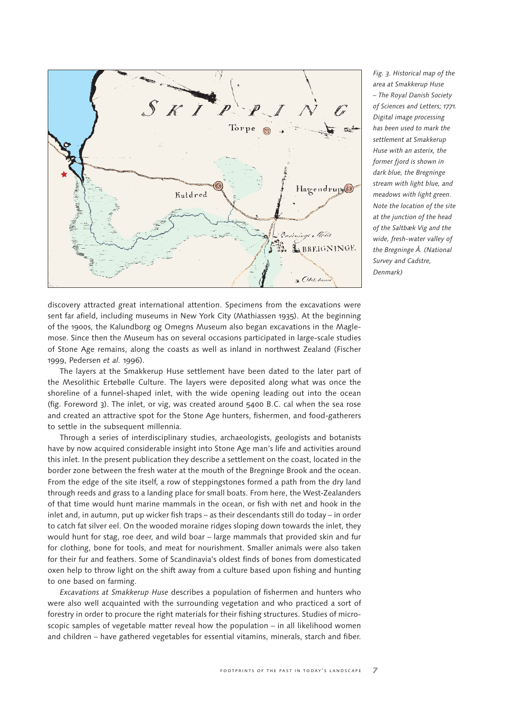

*Fig. 3. Historical map of the area at Smakkerup Huse – The Royal Danish Society of Sciences and Letters; 1771. Digital image processing has been used to mark the settlement at Smakkerup Huse with an asterix, the former fjord is shown in dark blue, the Bregninge stream with light blue, and meadows with light green. Note the location of the site at the junction of the head of the Saltbæk Vig and the wide, fresh-water valley of the Bregninge Å. (National Survey and Cadstre, Denmark)*

discovery attracted great international attention. Specimens from the excavations were sent far afield, including museums in New York City (Mathiassen 1935). At the beginning of the 1900s, the Kalundborg og Omegns Museum also began excavations in the Maglemose. Since then the Museum has on several occasions participated in large-scale studies of Stone Age remains, along the coasts as well as inland in northwest Zealand (Fischer 1999, Pedersen *et al.* 1996).

The layers at the Smakkerup Huse settlement have been dated to the later part of the Mesolithic Ertebølle Culture. The layers were deposited along what was once the shoreline of a funnel-shaped inlet, with the wide opening leading out into the ocean (fig. Foreword 3). The inlet, or vig, was created around 5400 B.C. cal when the sea rose and created an attractive spot for the Stone Age hunters, fishermen, and food-gatherers to settle in the subsequent millennia.

Through a series of interdisciplinary studies, archaeologists, geologists and botanists have by now acquired considerable insight into Stone Age man's life and activities around this inlet. In the present publication they describe a settlement on the coast, located in the border zone between the fresh water at the mouth of the Bregninge Brook and the ocean. From the edge of the site itself, a row of steppingstones formed a path from the dry land through reeds and grass to a landing place for small boats. From here, the West-Zealanders of that time would hunt marine mammals in the ocean, or fish with net and hook in the inlet and, in autumn, put up wicker fish traps – as their descendants still do today – in order to catch fat silver eel. On the wooded moraine ridges sloping down towards the inlet, they would hunt for stag, roe deer, and wild boar – large mammals that provided skin and fur for clothing, bone for tools, and meat for nourishment. Smaller animals were also taken for their fur and feathers. Some of Scandinavia's oldest finds of bones from domesticated oxen help to throw light on the shift away from a culture based upon fishing and hunting to one based on farming.

*Excavations at Smakkerup Huse* describes a population of fishermen and hunters who were also well acquainted with the surrounding vegetation and who practiced a sort of forestry in order to procure the right materials for their fishing structures. Studies of microscopic samples of vegetable matter reveal how the population – in all likelihood women and children – have gathered vegetables for essential vitamins, minerals, starch and fiber.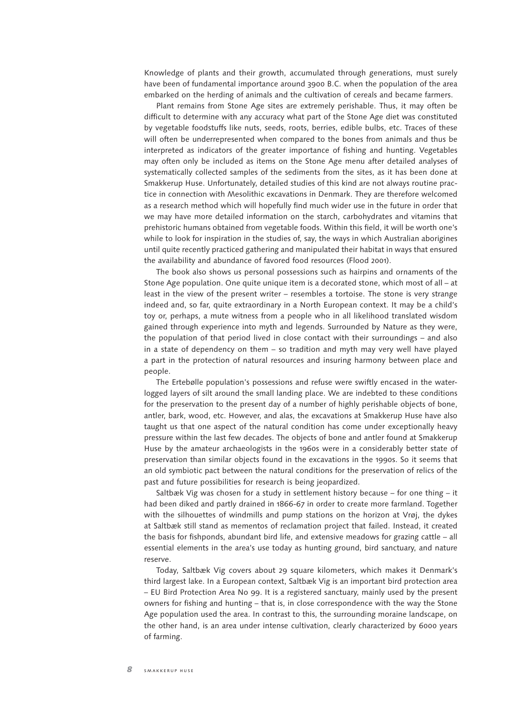Knowledge of plants and their growth, accumulated through generations, must surely have been of fundamental importance around 3900 B.C. when the population of the area embarked on the herding of animals and the cultivation of cereals and became farmers.

Plant remains from Stone Age sites are extremely perishable. Thus, it may often be difficult to determine with any accuracy what part of the Stone Age diet was constituted by vegetable foodstuffs like nuts, seeds, roots, berries, edible bulbs, etc. Traces of these will often be underrepresented when compared to the bones from animals and thus be interpreted as indicators of the greater importance of fishing and hunting. Vegetables may often only be included as items on the Stone Age menu after detailed analyses of systematically collected samples of the sediments from the sites, as it has been done at Smakkerup Huse. Unfortunately, detailed studies of this kind are not always routine practice in connection with Mesolithic excavations in Denmark. They are therefore welcomed as a research method which will hopefully find much wider use in the future in order that we may have more detailed information on the starch, carbohydrates and vitamins that prehistoric humans obtained from vegetable foods. Within this field, it will be worth one's while to look for inspiration in the studies of, say, the ways in which Australian aborigines until quite recently practiced gathering and manipulated their habitat in ways that ensured the availability and abundance of favored food resources (Flood 2001).

The book also shows us personal possessions such as hairpins and ornaments of the Stone Age population. One quite unique item is a decorated stone, which most of all – at least in the view of the present writer – resembles a tortoise. The stone is very strange indeed and, so far, quite extraordinary in a North European context. It may be a child's toy or, perhaps, a mute witness from a people who in all likelihood translated wisdom gained through experience into myth and legends. Surrounded by Nature as they were, the population of that period lived in close contact with their surroundings – and also in a state of dependency on them – so tradition and myth may very well have played a part in the protection of natural resources and insuring harmony between place and people.

The Ertebølle population's possessions and refuse were swiftly encased in the waterlogged layers of silt around the small landing place. We are indebted to these conditions for the preservation to the present day of a number of highly perishable objects of bone, antler, bark, wood, etc. However, and alas, the excavations at Smakkerup Huse have also taught us that one aspect of the natural condition has come under exceptionally heavy pressure within the last few decades. The objects of bone and antler found at Smakkerup Huse by the amateur archaeologists in the 1960s were in a considerably better state of preservation than similar objects found in the excavations in the 1990s. So it seems that an old symbiotic pact between the natural conditions for the preservation of relics of the past and future possibilities for research is being jeopardized.

Saltbæk Vig was chosen for a study in settlement history because – for one thing – it had been diked and partly drained in 1866-67 in order to create more farmland. Together with the silhouettes of windmills and pump stations on the horizon at Vrøj, the dykes at Saltbæk still stand as mementos of reclamation project that failed. Instead, it created the basis for fishponds, abundant bird life, and extensive meadows for grazing cattle – all essential elements in the area's use today as hunting ground, bird sanctuary, and nature reserve.

Today, Saltbæk Vig covers about 29 square kilometers, which makes it Denmark's third largest lake. In a European context, Saltbæk Vig is an important bird protection area – EU Bird Protection Area No 99. It is a registered sanctuary, mainly used by the present owners for fishing and hunting – that is, in close correspondence with the way the Stone Age population used the area. In contrast to this, the surrounding moraine landscape, on the other hand, is an area under intense cultivation, clearly characterized by 6000 years of farming.